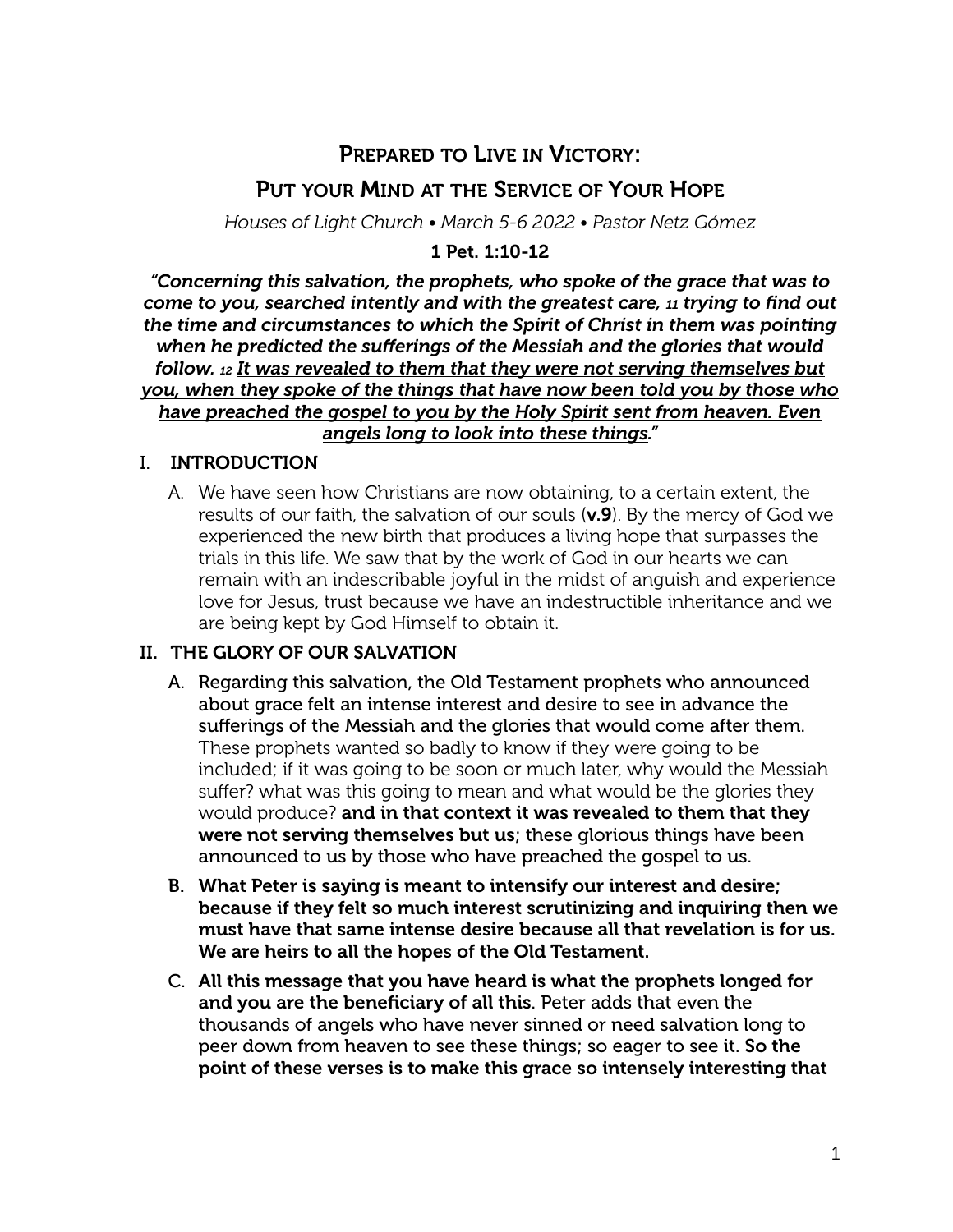# PREPARED TO LIVE IN VICTORY:

# PUT YOUR MIND AT THE SERVICE OF YOUR HOPE

*Houses of Light Church • March 5-6 2022 • Pastor Netz Gómez*

#### 1 Pet. 1:10-12

*"Concerning this salvation, the prophets, who spoke of the grace that was to come to you, searched intently and with the greatest care, 11 trying to find out the time and circumstances to which the Spirit of Christ in them was pointing when he predicted the sufferings of the Messiah and the glories that would follow. 12 It was revealed to them that they were not serving themselves but you, when they spoke of the things that have now been told you by those who have preached the gospel to you by the Holy Spirit sent from heaven. Even angels long to look into these things."*

### I. INTRODUCTION

A. We have seen how Christians are now obtaining, to a certain extent, the results of our faith, the salvation of our souls (v.9). By the mercy of God we experienced the new birth that produces a living hope that surpasses the trials in this life. We saw that by the work of God in our hearts we can remain with an indescribable joyful in the midst of anguish and experience love for Jesus, trust because we have an indestructible inheritance and we are being kept by God Himself to obtain it.

## II. THE GLORY OF OUR SALVATION

- A. Regarding this salvation, the Old Testament prophets who announced about grace felt an intense interest and desire to see in advance the sufferings of the Messiah and the glories that would come after them. These prophets wanted so badly to know if they were going to be included; if it was going to be soon or much later, why would the Messiah suffer? what was this going to mean and what would be the glories they would produce? and in that context it was revealed to them that they were not serving themselves but us; these glorious things have been announced to us by those who have preached the gospel to us.
- B. What Peter is saying is meant to intensify our interest and desire; because if they felt so much interest scrutinizing and inquiring then we must have that same intense desire because all that revelation is for us. We are heirs to all the hopes of the Old Testament.
- C. All this message that you have heard is what the prophets longed for and you are the beneficiary of all this. Peter adds that even the thousands of angels who have never sinned or need salvation long to peer down from heaven to see these things; so eager to see it. So the point of these verses is to make this grace so intensely interesting that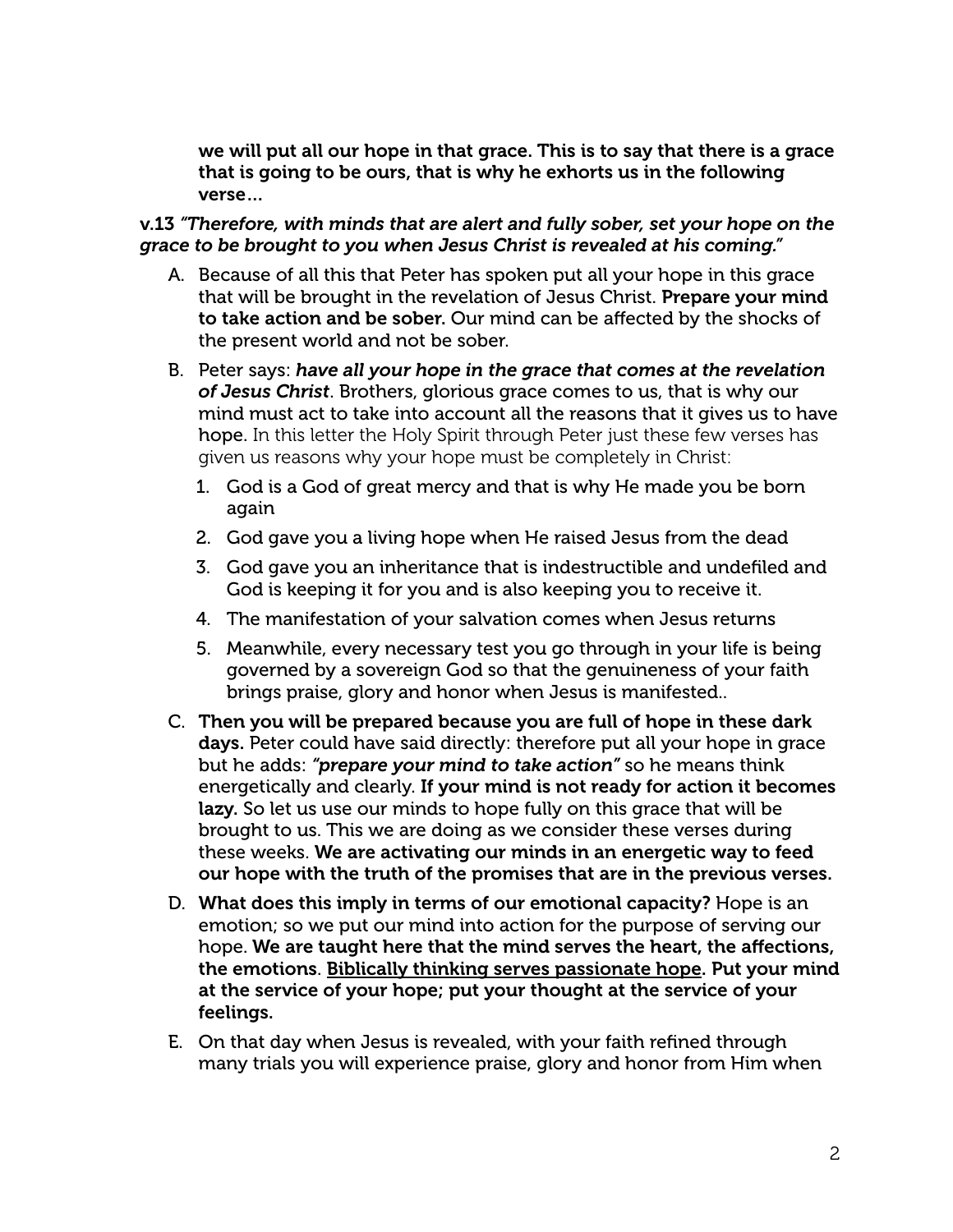we will put all our hope in that grace. This is to say that there is a grace that is going to be ours, that is why he exhorts us in the following verse…

v.13 *"Therefore, with minds that are alert and fully sober, set your hope on the grace to be brought to you when Jesus Christ is revealed at his coming."*

- A. Because of all this that Peter has spoken put all your hope in this grace that will be brought in the revelation of Jesus Christ. Prepare your mind to take action and be sober. Our mind can be affected by the shocks of the present world and not be sober.
- B. Peter says: *have all your hope in the grace that comes at the revelation of Jesus Christ*. Brothers, glorious grace comes to us, that is why our mind must act to take into account all the reasons that it gives us to have hope. In this letter the Holy Spirit through Peter just these few verses has given us reasons why your hope must be completely in Christ:
	- 1. God is a God of great mercy and that is why He made you be born again
	- 2. God gave you a living hope when He raised Jesus from the dead
	- 3. God gave you an inheritance that is indestructible and undefiled and God is keeping it for you and is also keeping you to receive it.
	- 4. The manifestation of your salvation comes when Jesus returns
	- 5. Meanwhile, every necessary test you go through in your life is being governed by a sovereign God so that the genuineness of your faith brings praise, glory and honor when Jesus is manifested..
- C. Then you will be prepared because you are full of hope in these dark days. Peter could have said directly: therefore put all your hope in grace but he adds: *"prepare your mind to take action"* so he means think energetically and clearly. If your mind is not ready for action it becomes lazy. So let us use our minds to hope fully on this grace that will be brought to us. This we are doing as we consider these verses during these weeks. We are activating our minds in an energetic way to feed our hope with the truth of the promises that are in the previous verses.
- D. What does this imply in terms of our emotional capacity? Hope is an emotion; so we put our mind into action for the purpose of serving our hope. We are taught here that the mind serves the heart, the affections, the emotions. Biblically thinking serves passionate hope. Put your mind at the service of your hope; put your thought at the service of your feelings.
- E. On that day when Jesus is revealed, with your faith refined through many trials you will experience praise, glory and honor from Him when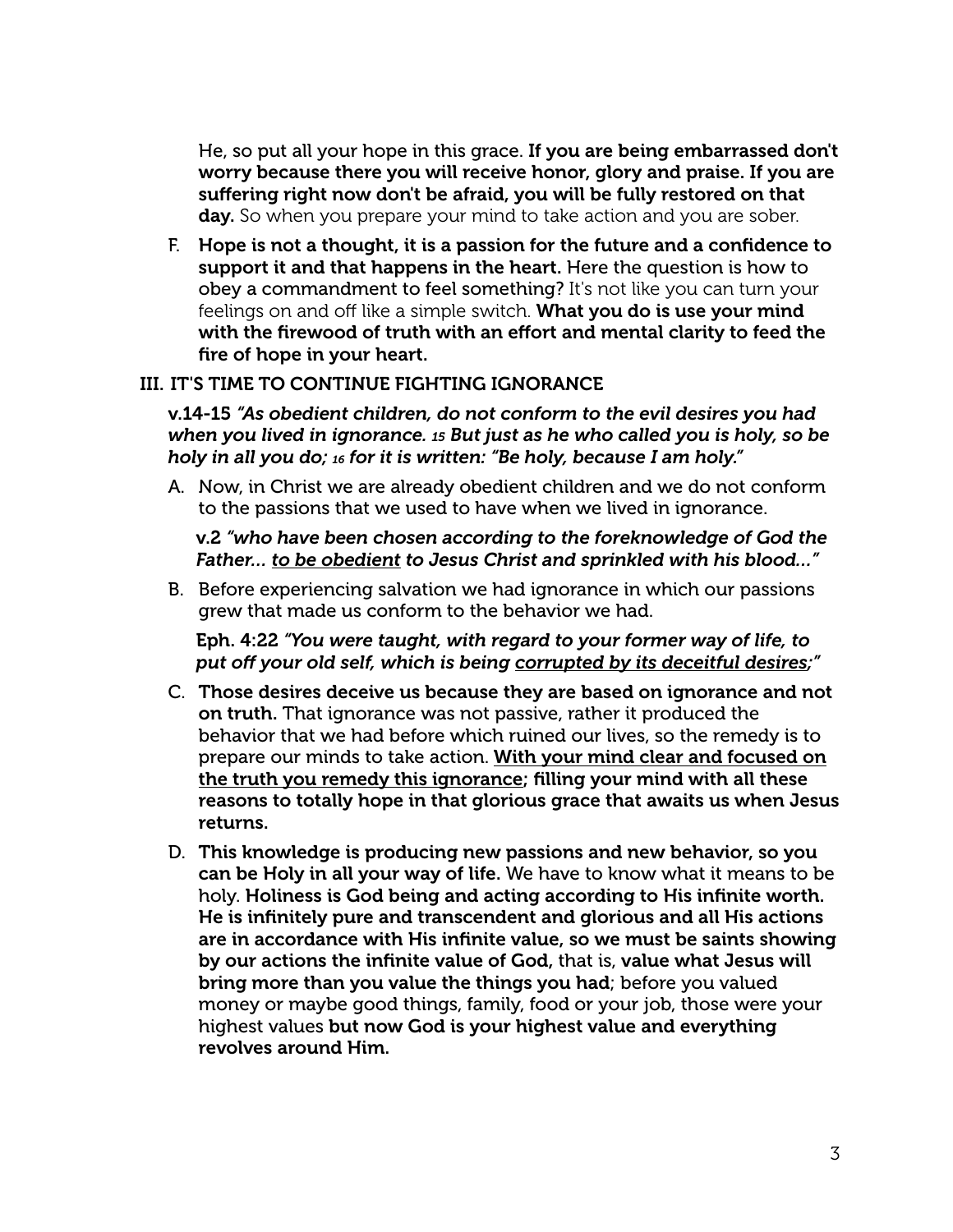He, so put all your hope in this grace. If you are being embarrassed don't worry because there you will receive honor, glory and praise. If you are suffering right now don't be afraid, you will be fully restored on that day. So when you prepare your mind to take action and you are sober.

F. Hope is not a thought, it is a passion for the future and a confidence to support it and that happens in the heart. Here the question is how to obey a commandment to feel something? It's not like you can turn your feelings on and off like a simple switch. What you do is use your mind with the firewood of truth with an effort and mental clarity to feed the fire of hope in your heart.

### III. IT'S TIME TO CONTINUE FIGHTING IGNORANCE

v.14-15 *"As obedient children, do not conform to the evil desires you had when you lived in ignorance. 15 But just as he who called you is holy, so be holy in all you do; 16 for it is written: "Be holy, because I am holy."*

A. Now, in Christ we are already obedient children and we do not conform to the passions that we used to have when we lived in ignorance.

v.2 *"who have been chosen according to the foreknowledge of God the Father… to be obedient to Jesus Christ and sprinkled with his blood…"*

B. Before experiencing salvation we had ignorance in which our passions grew that made us conform to the behavior we had.

Eph. 4:22 *"You were taught, with regard to your former way of life, to put off your old self, which is being corrupted by its deceitful desires;"*

- C. Those desires deceive us because they are based on ignorance and not on truth. That ignorance was not passive, rather it produced the behavior that we had before which ruined our lives, so the remedy is to prepare our minds to take action. With your mind clear and focused on the truth you remedy this ignorance; filling your mind with all these reasons to totally hope in that glorious grace that awaits us when Jesus returns.
- D. This knowledge is producing new passions and new behavior, so you can be Holy in all your way of life. We have to know what it means to be holy. Holiness is God being and acting according to His infinite worth. He is infinitely pure and transcendent and glorious and all His actions are in accordance with His infinite value, so we must be saints showing by our actions the infinite value of God, that is, value what Jesus will bring more than you value the things you had; before you valued money or maybe good things, family, food or your job, those were your highest values but now God is your highest value and everything revolves around Him.